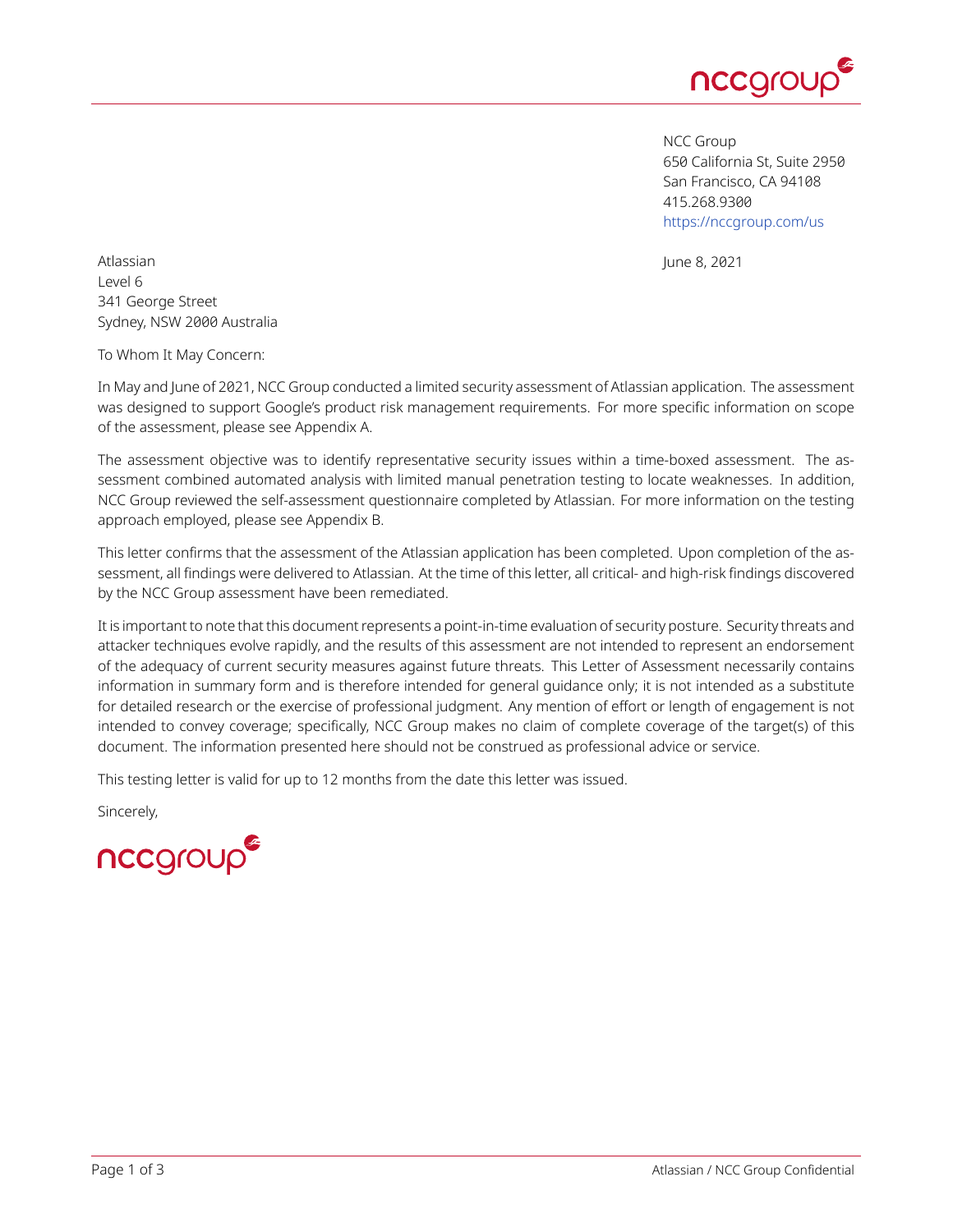

NCC Group 650 California St, Suite 2950 San Francisco, CA 94108 415.268.9300 <https://nccgroup.com/us>

Atlassian **Atlassian** June 8, 2021 Level 6 341 George Street Sydney, NSW 2000 Australia

To Whom It May Concern:

In May and June of 2021, NCC Group conducted a limited security assessment of Atlassian application. The assessment was designed to support Google's product risk management requirements. For more specific information on scope of the assessment, please see Appendix A.

The assessment objective was to identify representative security issues within a time-boxed assessment. The assessment combined automated analysis with limited manual penetration testing to locate weaknesses. In addition, NCC Group reviewed the self-assessment questionnaire completed by Atlassian. For more information on the testing approach employed, please see Appendix B.

This letter confirms that the assessment of the Atlassian application has been completed. Upon completion of the assessment, all findings were delivered to Atlassian. At the time of this letter, all critical- and high-risk findings discovered by the NCC Group assessment have been remediated.

It is important to note that this document represents a point-in-time evaluation of security posture. Security threats and attacker techniques evolve rapidly, and the results of this assessment are not intended to represent an endorsement of the adequacy of current security measures against future threats. This Letter of Assessment necessarily contains information in summary form and is therefore intended for general guidance only; it is not intended as a substitute for detailed research or the exercise of professional judgment. Any mention of effort or length of engagement is not intended to convey coverage; specifically, NCC Group makes no claim of complete coverage of the target(s) of this document. The information presented here should not be construed as professional advice or service.

This testing letter is valid for up to 12 months from the date this letter was issued.

Sincerely,

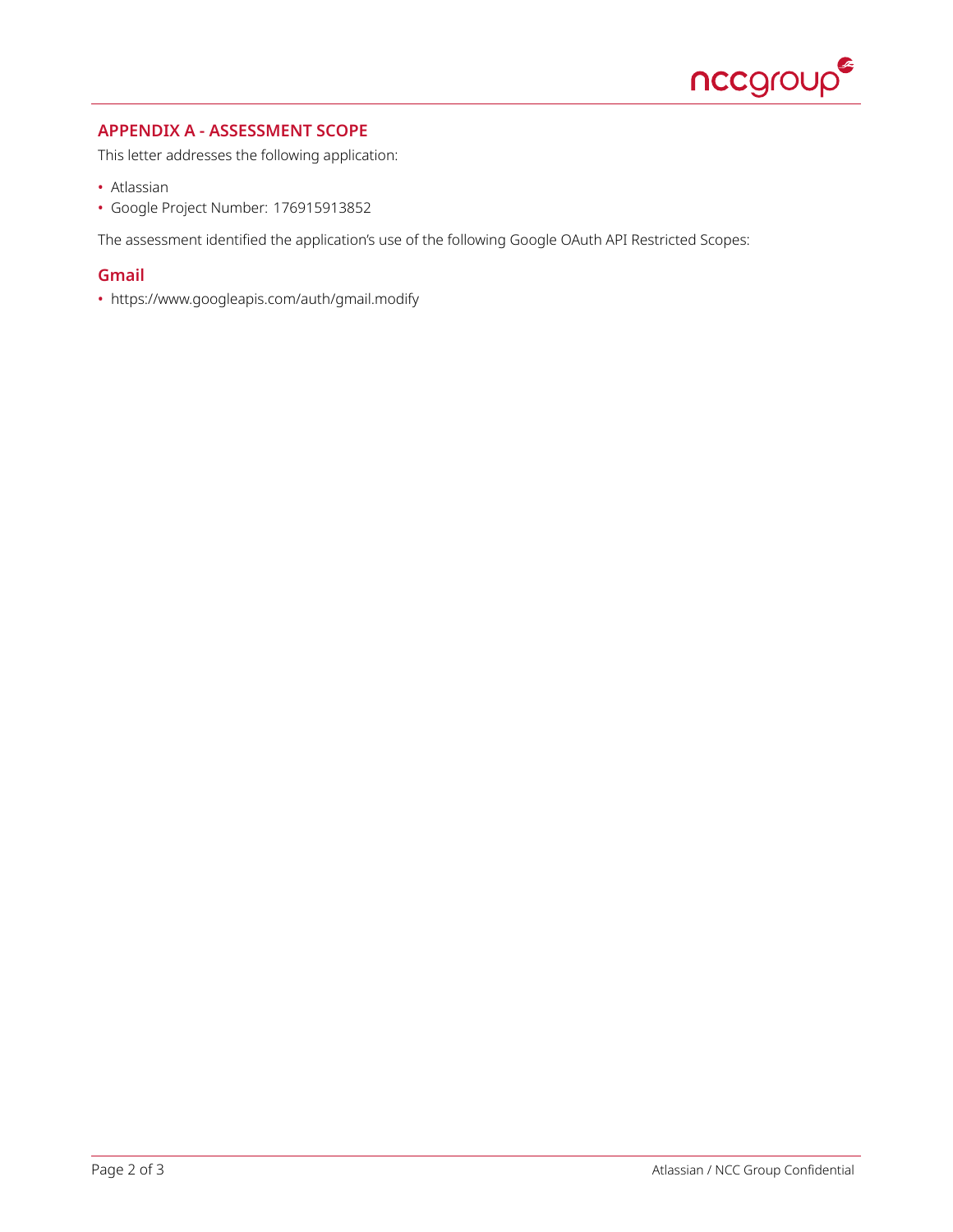

## **APPENDIX A - ASSESSMENT SCOPE**

This letter addresses the following application:

- Atlassian
- Google Project Number: 176915913852

The assessment identified the application's use of the following Google OAuth API Restricted Scopes:

## **Gmail**

• https://www.googleapis.com/auth/gmail.modify